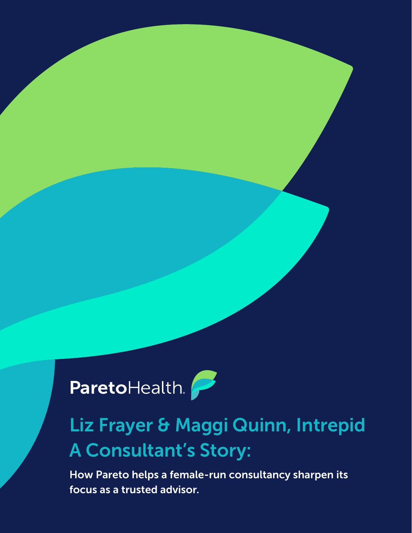

### Liz Frayer & Maggi Quinn, Intrepid A Consultant's Story:

How Pareto helps a female-run consultancy sharpen its focus as a trusted advisor.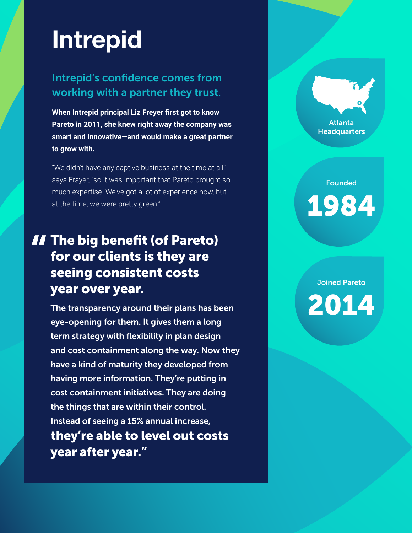# **Intrepid**

#### Intrepid's confidence comes from working with a partner they trust.

**When Intrepid principal Liz Freyer first got to know Pareto in 2011, she knew right away the company was smart and innovative—and would make a great partner to grow with.**

"We didn't have any captive business at the time at all," says Frayer, "so it was important that Pareto brought so much expertise. We've got a lot of experience now, but at the time, we were pretty green."

### **II** The big benefit (of Pareto)<br>for our clients is they are<br>seeing consistent costs for our clients is they are seeing consistent costs year over year.

The transparency around their plans has been eye-opening for them. It gives them a long term strategy with flexibility in plan design and cost containment along the way. Now they have a kind of maturity they developed from having more information. They're putting in cost containment initiatives. They are doing the things that are within their control. Instead of seeing a 15% annual increase, they're able to level out costs year after year."

Atlanta **Headquarters** 

Founded 1984

Joined Pareto 2014